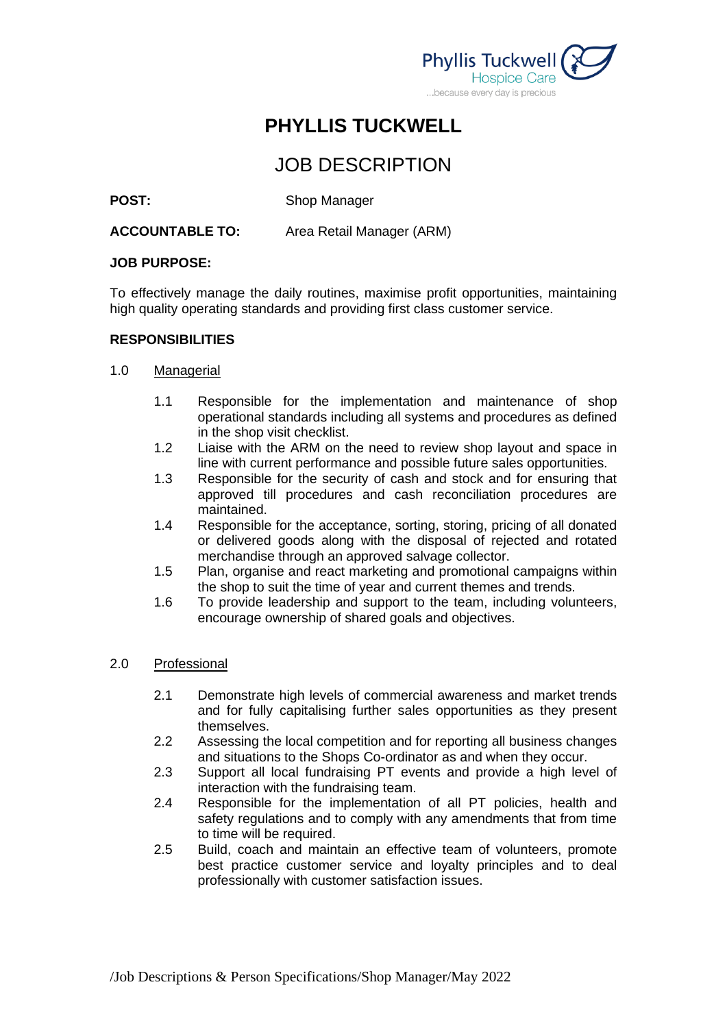

# **PHYLLIS TUCKWELL**

# JOB DESCRIPTION

### **POST:** Shop Manager

#### **ACCOUNTABLE TO:** Area Retail Manager (ARM)

#### **JOB PURPOSE:**

To effectively manage the daily routines, maximise profit opportunities, maintaining high quality operating standards and providing first class customer service.

#### **RESPONSIBILITIES**

#### 1.0 Managerial

- 1.1 Responsible for the implementation and maintenance of shop operational standards including all systems and procedures as defined in the shop visit checklist.
- 1.2 Liaise with the ARM on the need to review shop layout and space in line with current performance and possible future sales opportunities.
- 1.3 Responsible for the security of cash and stock and for ensuring that approved till procedures and cash reconciliation procedures are maintained.
- 1.4 Responsible for the acceptance, sorting, storing, pricing of all donated or delivered goods along with the disposal of rejected and rotated merchandise through an approved salvage collector.
- 1.5 Plan, organise and react marketing and promotional campaigns within the shop to suit the time of year and current themes and trends.
- 1.6 To provide leadership and support to the team, including volunteers, encourage ownership of shared goals and objectives.

#### 2.0 Professional

- 2.1 Demonstrate high levels of commercial awareness and market trends and for fully capitalising further sales opportunities as they present themselves.
- 2.2 Assessing the local competition and for reporting all business changes and situations to the Shops Co-ordinator as and when they occur.
- 2.3 Support all local fundraising PT events and provide a high level of interaction with the fundraising team.
- 2.4 Responsible for the implementation of all PT policies, health and safety regulations and to comply with any amendments that from time to time will be required.
- 2.5 Build, coach and maintain an effective team of volunteers, promote best practice customer service and loyalty principles and to deal professionally with customer satisfaction issues.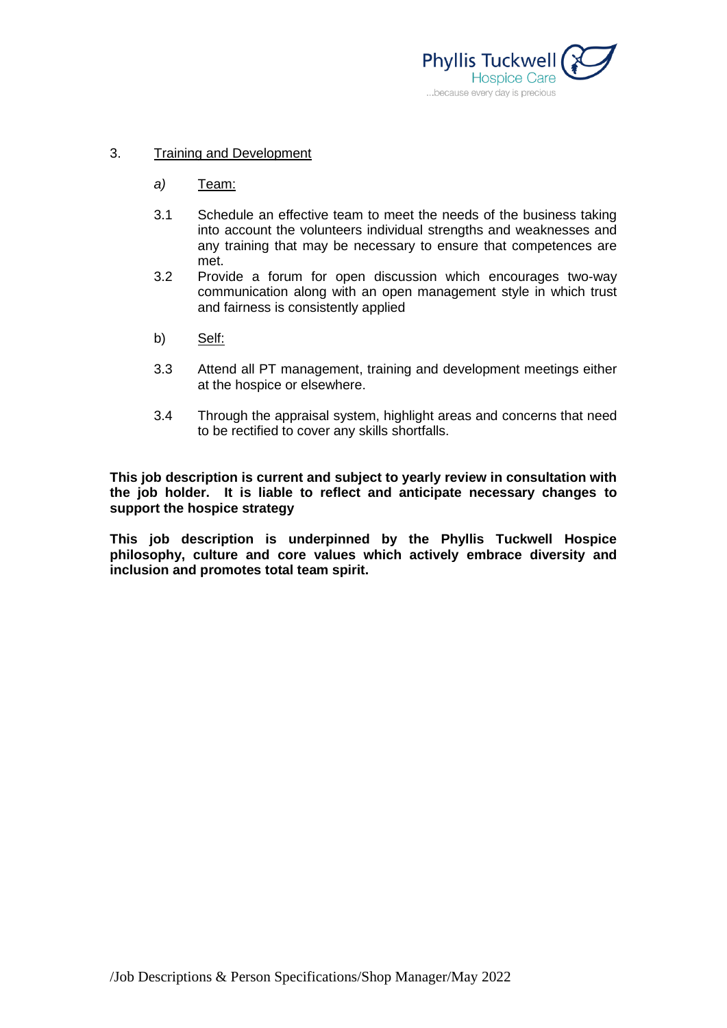

#### 3. Training and Development

- *a)* Team:
- 3.1 Schedule an effective team to meet the needs of the business taking into account the volunteers individual strengths and weaknesses and any training that may be necessary to ensure that competences are met.
- 3.2 Provide a forum for open discussion which encourages two-way communication along with an open management style in which trust and fairness is consistently applied
- b) Self:
- 3.3 Attend all PT management, training and development meetings either at the hospice or elsewhere.
- 3.4 Through the appraisal system, highlight areas and concerns that need to be rectified to cover any skills shortfalls.

**This job description is current and subject to yearly review in consultation with the job holder. It is liable to reflect and anticipate necessary changes to support the hospice strategy**

**This job description is underpinned by the Phyllis Tuckwell Hospice philosophy, culture and core values which actively embrace diversity and inclusion and promotes total team spirit.**